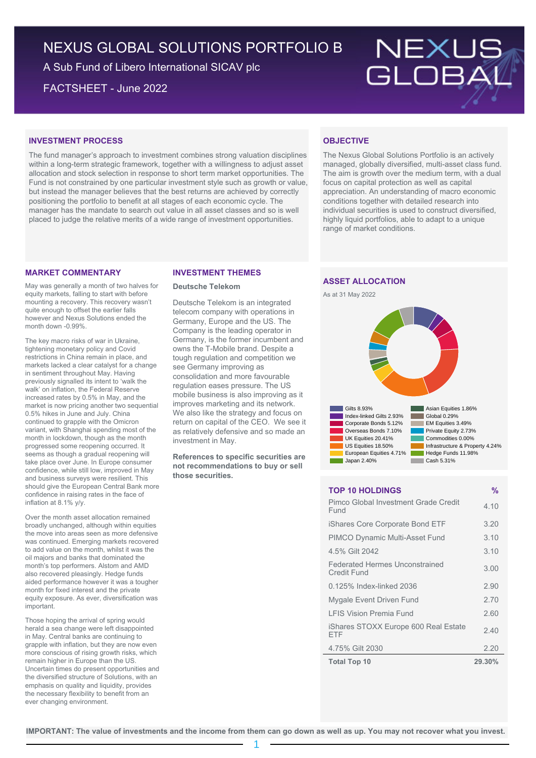# NEXUS GLOBAL SOLUTIONS PORTFOLIO B

A Sub Fund of Libero International SICAV plc

FACTSHEET - June 2022



#### **INVESTMENT PROCESS**

The fund manager's approach to investment combines strong valuation disciplines within a long-term strategic framework, together with a willingness to adjust asset allocation and stock selection in response to short term market opportunities. The Fund is not constrained by one particular investment style such as growth or value, but instead the manager believes that the best returns are achieved by correctly positioning the portfolio to benefit at all stages of each economic cycle. The manager has the mandate to search out value in all asset classes and so is well placed to judge the relative merits of a wide range of investment opportunities.

## **OBJECTIVE**

The Nexus Global Solutions Portfolio is an actively managed, globally diversified, multi-asset class fund. The aim is growth over the medium term, with a dual focus on capital protection as well as capital appreciation. An understanding of macro economic conditions together with detailed research into individual securities is used to construct diversified, highly liquid portfolios, able to adapt to a unique range of market conditions.

### **MARKET COMMENTARY**

May was generally a month of two halves for equity markets, falling to start with before mounting a recovery. This recovery wasn't quite enough to offset the earlier falls however and Nexus Solutions ended the month down -0.99%.

The key macro risks of war in Ukraine, tightening monetary policy and Covid restrictions in China remain in place, and markets lacked a clear catalyst for a change in sentiment throughout May. Having previously signalled its intent to 'walk the walk' on inflation, the Federal Reserve increased rates by 0.5% in May, and the market is now pricing another two sequential 0.5% hikes in June and July. China continued to grapple with the Omicron variant, with Shanghai spending most of the month in lockdown, though as the month progressed some reopening occurred. It seems as though a gradual reopening will take place over June. In Europe consumer confidence, while still low, improved in May and business surveys were resilient. This should give the European Central Bank more confidence in raising rates in the face of inflation at 8.1% y/y.

Over the month asset allocation remained broadly unchanged, although within equities the move into areas seen as more defensive was continued. Emerging markets recovered to add value on the month, whilst it was the oil majors and banks that dominated the month's top performers. Alstom and AMD also recovered pleasingly. Hedge funds aided performance however it was a tougher month for fixed interest and the private equity exposure. As ever, diversification was important.

Those hoping the arrival of spring would herald a sea change were left disappointed in May. Central banks are continuing to grapple with inflation, but they are now even more conscious of rising growth risks, which remain higher in Europe than the US. Uncertain times do present opportunities and the diversified structure of Solutions, with an emphasis on quality and liquidity, provides the necessary flexibility to benefit from an ever changing environment.

#### **INVESTMENT THEMES**

#### **Deutsche Telekom**

Deutsche Telekom is an integrated telecom company with operations in Germany, Europe and the US. The Company is the leading operator in Germany, is the former incumbent and owns the T-Mobile brand. Despite a tough regulation and competition we see Germany improving as consolidation and more favourable regulation eases pressure. The US mobile business is also improving as it improves marketing and its network. We also like the strategy and focus on return on capital of the CEO. We see it as relatively defensive and so made an investment in May.

**References to specific securities are not recommendations to buy or sell those securities.**

## **ASSET ALLOCATION**





### **TOP 10 HOLDINGS %**

| Pimco Global Investment Grade Credit<br>Fund         | 4.10   |
|------------------------------------------------------|--------|
| iShares Core Corporate Bond ETF                      | 3.20   |
| <b>PIMCO Dynamic Multi-Asset Fund</b>                | 3.10   |
| 4.5% Gilt 2042                                       | 3.10   |
| <b>Federated Hermes Unconstrained</b><br>Credit Fund | 3.00   |
| 0.125% Index-linked 2036                             | 2.90   |
| Mygale Event Driven Fund                             | 2.70   |
| <b>I FIS Vision Premia Fund</b>                      | 2.60   |
| iShares STOXX Europe 600 Real Estate<br>FTF          | 2.40   |
| 4.75% Gilt 2030                                      | 2.20   |
| <b>Total Top 10</b>                                  | 29.30% |

**IMPORTANT: The value of investments and the income from them can go down as well as up. You may not recover what you invest.**

1